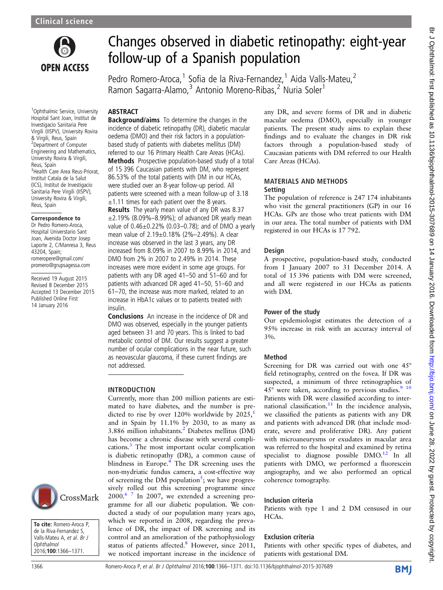

# Changes observed in diabetic retinopathy: eight-year follow-up of a Spanish population

Pedro Romero-Aroca,<sup>1</sup> Sofia de la Riva-Fernandez,<sup>1</sup> Aida Valls-Mateu,<sup>2</sup> Ramon Sagarra-Alamo,<sup>3</sup> Antonio Moreno-Ribas,<sup>2</sup> Nuria Soler<sup>1</sup>

## ABSTRACT

<sup>1</sup>Ophthalmic Service, University Hospital Sant Joan, Institut de Investigacio Sanitaria Pere Virgili (IISPV), University Rovira & Virgili, Reus, Spain <sup>2</sup>Department of Computer Engineering and Mathematics, University Rovira & Virgili, Reus, Spain 3 Health Care Area Reus-Priorat, Institut Catala de la Salut (ICS), Institut de Investigacio Sanitaria Pere Virgili (IISPV), University Rovira & Virgili, Reus, Spain

#### Correspondence to

Dr Pedro Romero-Aroca, Hospital Universtario Sant Joan, Avenida Doctor Josep Laporte 2, C/Manresa 3, Reus 43204, Spain; romeropere@gmail.com/ promero@grupsagessa.com

Received 19 August 2015 Revised 8 December 2015 Accepted 13 December 2015 Published Online First 14 January 2016

**Background/aims** To determine the changes in the incidence of diabetic retinopathy (DR), diabetic macular oedema (DMO) and their risk factors in a populationbased study of patients with diabetes mellitus (DM) referred to our 16 Primary Health Care Areas (HCAs). Methods Prospective population-based study of a total of 15 396 Caucasian patients with DM, who represent 86.53% of the total patients with DM in our HCAs, were studied over an 8-year follow-up period. All patients were screened with a mean follow-up of 3.18  $\pm$ 1.11 times for each patient over the 8 years.

Results The yearly mean value of any DR was 8.37  $\pm$ 2.19% (8.09%–8.99%); of advanced DR yearly mean value of 0.46±0.22% (0.03–0.78); and of DMO a yearly mean value of 2.19±0.18% (2%–2.49%). A clear increase was observed in the last 3 years, any DR increased from 8.09% in 2007 to 8.99% in 2014, and DMO from 2% in 2007 to 2.49% in 2014. These increases were more evident in some age groups. For patients with any DR aged 41–50 and 51–60 and for patients with advanced DR aged 41–50, 51–60 and 61–70, the increase was more marked, related to an increase in HbA1c values or to patients treated with insulin.

Conclusions An increase in the incidence of DR and DMO was observed, especially in the younger patients aged between 31 and 70 years. This is linked to bad metabolic control of DM. Our results suggest a greater number of ocular complications in the near future, such as neovascular glaucoma, if these current findings are not addressed.

#### INTRODUCTION

Currently, more than 200 million patients are estimated to have diabetes, and the number is pre-dicted to rise by over [1](#page-5-0)20% worldwide by  $2025$ , and in Spain by 11.1% by 2030, to as many as 3.886 million inhabitants.[2](#page-5-0) Diabetes mellitus (DM) has become a chronic disease with several complications.[3](#page-5-0) The most important ocular complication is diabetic retinopathy (DR), a common cause of blindness in Europe.<sup>[4](#page-5-0)</sup> The DR screening uses the non-mydriatic fundus camera, a cost-effective way of screening the DM population<sup>[5](#page-5-0)</sup>; we have progressively rolled out this screening programme since  $2000.<sup>6</sup>$  In 2007, we extended a screening programme for all our diabetic population. We conducted a study of our population many years ago, which we reported in 2008, regarding the prevalence of DR, the impact of DR screening and its control and an amelioration of the pathophysiology status of patients affected.<sup>[8](#page-5-0)</sup> However, since 2011, we noticed important increase in the incidence of any DR, and severe forms of DR and in diabetic macular oedema (DMO), especially in younger patients. The present study aims to explain these findings and to evaluate the changes in DR risk factors through a population-based study of Caucasian patients with DM referred to our Health Care Areas (HCAs).

#### MATERIALS AND METHODS Setting

The population of reference is 247 174 inhabitants who visit the general practitioners (GP) in our 16 HCAs. GPs are those who treat patients with DM in our area. The total number of patients with DM registered in our HCAs is 17 792.

## Design

A prospective, population-based study, conducted from 1 January 2007 to 31 December 2014. A total of 15 396 patients with DM were screened, and all were registered in our HCAs as patients with DM.

## Power of the study

Our epidemiologist estimates the detection of a 95% increase in risk with an accuracy interval of 3%.

## Method

Screening for DR was carried out with one 45° field retinography, centred on the fovea. If DR was suspected, a minimum of three retinographies of  $45^\circ$  were taken, according to previous studies.<sup>9</sup> <sup>10</sup> Patients with DR were classified according to inter-national classification.<sup>[11](#page-5-0)</sup> In the incidence analysis, we classified the patients as patients with any DR and patients with advanced DR (that include moderate, severe and proliferative DR). Any patient with microaneurysms or exudates in macular area was referred to the hospital and examined by retina specialist to diagnose possible  $DMO<sup>12</sup>$  $DMO<sup>12</sup>$  $DMO<sup>12</sup>$  In all patients with DMO, we performed a fluorescein angiography, and we also performed an optical coherence tomography.

## Inclusion criteria

Patients with type 1 and 2 DM censused in our HCAs.

## Exclusion criteria

Patients with other specific types of diabetes, and patients with gestational DM.

**BMJ** 

**Ophthalmol** 2016;100:1366–1371.

To cite: Romero-Aroca P, de la Riva-Fernandez S, Valls-Mateu A, et al. Br J

CrossMark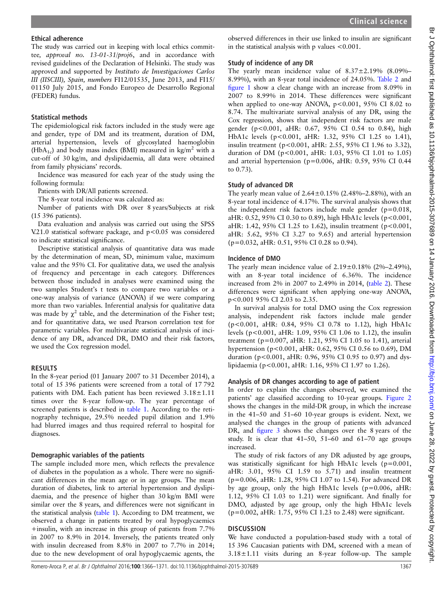The study was carried out in keeping with local ethics committee, approval no. 13-01-31/proj6, and in accordance with revised guidelines of the Declaration of Helsinki. The study was approved and supported by Instituto de Investigaciones Carlos III (IISCIII), Spain, numbers FI12/01535, June 2013, and FI15/ 01150 July 2015, and Fondo Europeo de Desarrollo Regional (FEDER) fundus.

# Statistical methods

The epidemiological risk factors included in the study were age and gender, type of DM and its treatment, duration of DM, arterial hypertension, levels of glycosylated haemoglobin (HbA<sub>1c</sub>) and body mass index (BMI) measured in kg/m<sup>2</sup> with a cut-off of 30 kg/m, and dyslipidaemia, all data were obtained from family physicians' records.

Incidence was measured for each year of the study using the following formula:

Patients with DR/All patients screened.

The 8-year total incidence was calculated as:

Number of patients with DR over 8 years/Subjects at risk (15 396 patients).

Data evaluation and analysis was carried out using the SPSS V.21.0 statistical software package, and p<0.05 was considered to indicate statistical significance.

Descriptive statistical analysis of quantitative data was made by the determination of mean, SD, minimum value, maximum value and the 95% CI. For qualitative data, we used the analysis of frequency and percentage in each category. Differences between those included in analyses were examined using the two samples Student's t tests to compare two variables or a one-way analysis of variance (ANOVA) if we were comparing more than two variables. Inferential analysis for qualitative data was made by  $\chi^2$  table, and the determination of the Fisher test; and for quantitative data, we used Pearson correlation test for parametric variables. For multivariate statistical analysis of incidence of any DR, advanced DR, DMO and their risk factors, we used the Cox regression model.

## RESULTS

In the 8-year period (01 January 2007 to 31 December 2014), a total of 15 396 patients were screened from a total of 17 792 patients with DM. Each patient has been reviewed 3.18±1.11 times over the 8-year follow-up. The year percentage of screened patients is described in [table 1.](#page-2-0) According to the retinography technique, 29.5% needed pupil dilation and 1.9% had blurred images and thus required referral to hospital for diagnoses.

## Demographic variables of the patients

The sample included more men, which reflects the prevalence of diabetes in the population as a whole. There were no significant differences in the mean age or in age groups. The mean duration of diabetes, link to arterial hypertension and dyslipidaemia, and the presence of higher than 30 kg/m BMI were similar over the 8 years, and differences were not significant in the statistical analysis [\(table 1\)](#page-2-0). According to DM treatment, we observed a change in patients treated by oral hypoglycaemics +insulin, with an increase in this group of patients from 7.7% in 2007 to 8.9% in 2014. Inversely, the patients treated only with insulin decreased from 8.8% in 2007 to 7.7% in 2014; due to the new development of oral hypoglycaemic agents, the

observed differences in their use linked to insulin are significant in the statistical analysis with p values <0.001.

## Study of incidence of any DR

The yearly mean incidence value of  $8.37 \pm 2.19\%$  (8.09%– 8.99%), with an 8-year total incidence of 24.05%. [Table 2](#page-3-0) and fi[gure 1](#page-3-0) show a clear change with an increase from 8.09% in 2007 to 8.99% in 2014. These differences were significant when applied to one-way ANOVA,  $p < 0.001$ , 95% CI 8.02 to 8.74. The multivariate survival analysis of any DR, using the Cox regression, shows that independent risk factors are male gender (p<0.001, aHR: 0.67, 95% CI 0.54 to 0.84), high HbA1c levels (p<0.001, aHR: 1.32, 95% CI 1.25 to 1.41), insulin treatment (p<0.001, aHR: 2.55, 95% CI 1.96 to 3.32), duration of DM (p<0.001, aHR: 1.03, 95% CI 1.01 to 1.05) and arterial hypertension (p=0.006, aHR: 0.59, 95% CI 0.44 to 0.73).

## Study of advanced DR

The yearly mean value of  $2.64 \pm 0.15\%$  (2.48%–2.88%), with an 8-year total incidence of 4.17%. The survival analysis shows that the independent risk factors include male gender  $(p=0.018,$ aHR: 0.52, 95% CI 0.30 to 0.89), high HbA1c levels (p<0.001, aHR: 1.42, 95% CI 1.25 to 1.62), insulin treatment ( $p < 0.001$ , aHR: 5.62, 95% CI 3.27 to 9.65) and arterial hypertension (p=0.032, aHR: 0.51, 95% CI 0.28 to 0.94).

## Incidence of DMO

The yearly mean incidence value of  $2.19 \pm 0.18\%$  (2%–2.49%), with an 8-year total incidence of 6.36%. The incidence increased from 2% in 2007 to 2.49% in 2014, ([table 2](#page-3-0)). These differences were significant when applying one-way ANOVA, p<0.001 95% CI 2.03 to 2.35.

In survival analysis for total DMO using the Cox regression analysis, independent risk factors include male gender (p<0.001, aHR: 0.84, 95% CI 0.78 to 1.12), high HbA1c levels (p<0.001, aHR: 1.09, 95% CI 1.06 to 1.12), the insulin treatment (p=0.007, aHR: 1.21, 95% CI 1.05 to 1.41), arterial hypertension (p<0.001, aHR: 0.62, 95% CI 0.56 to 0.69), DM duration (p<0.001, aHR: 0.96, 95% CI 0.95 to 0.97) and dyslipidaemia (p<0.001, aHR: 1.16, 95% CI 1.97 to 1.26).

# Analysis of DR changes according to age of patient

In order to explain the changes observed, we examined the patients' age classified according to 10-year groups. [Figure 2](#page-4-0) shows the changes in the mild-DR group, in which the increase in the 41–50 and 51–60 10-year groups is evident. Next, we analysed the changes in the group of patients with advanced DR, and fi[gure 3](#page-4-0) shows the changes over the 8 years of the study. It is clear that 41–50, 51–60 and 61–70 age groups increased.

The study of risk factors of any DR adjusted by age groups, was statistically significant for high HbA1c levels (p=0.001, aHR: 3.01, 95% CI 1.59 to 5.71) and insulin treatment (p=0.006, aHR: 1.28, 95% CI 1.07 to 1.54). For advanced DR by age group, only the high HbA1c levels (p=0.006, aHR: 1.12, 95% CI 1.03 to 1.21) were significant. And finally for DMO, adjusted by age group, only the high HbA1c levels (p=0.002, aHR: 1.75, 95% CI 1.23 to 2.48) were significant.

# **DISCUSSION**

We have conducted a population-based study with a total of 15 396 Caucasian patients with DM, screened with a mean of  $3.18 \pm 1.11$  visits during an 8-year follow-up. The sample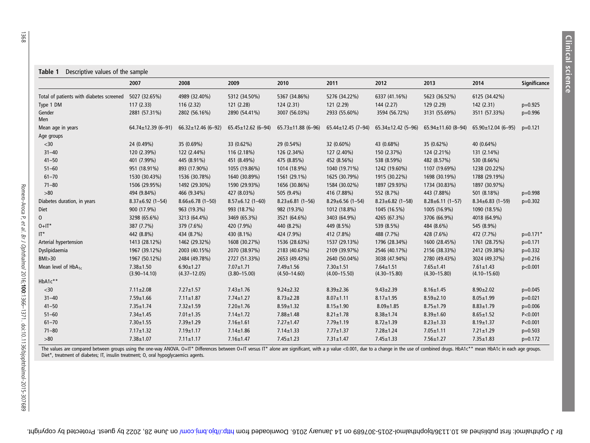|                                          | 2007                                | 2008                                | 2009                                | 2010                                | 2011                                | 2012                                | 2013                                | 2014                                | <b>Significance</b> |
|------------------------------------------|-------------------------------------|-------------------------------------|-------------------------------------|-------------------------------------|-------------------------------------|-------------------------------------|-------------------------------------|-------------------------------------|---------------------|
| Total of patients with diabetes screened | 5027 (32.65%)                       | 4989 (32.40%)                       | 5312 (34.50%)                       | 5367 (34.86%)                       | 5276 (34.22%)                       | 6337 (41.16%)                       | 5623 (36.52%)                       | 6125 (34.42%)                       |                     |
| Type 1 DM                                | 117(2.33)                           | 116 (2.32)                          | 121 (2.28)                          | 124 (2.31)                          | 121 (2.29)                          | 144 (2.27)                          | 129 (2.29)                          | 142(2.31)                           | $p=0.925$           |
| Gender<br><b>Men</b>                     | 2881 (57.31%)                       | 2802 (56.16%)                       | 2890 (54.41%)                       | 3007 (56.03%)                       | 2933 (55.60%)                       | 3594 (56.72%)                       | 3131 (55.69%)                       | 3511 (57.33%)                       | $p=0.996$           |
| Mean age in years                        | $64.74 \pm 12.39$ (6-91)            | $66.32 \pm 12.46$ (6-92)            | $65.45 \pm 12.62$ (6-94)            | $65.73 \pm 11.88$ (6-96)            | $65.44 \pm 12.45$ (7-94)            | $65.34 \pm 12.42$ (5-96)            | $65.94 \pm 11.60$ (8-94)            | $65.90 \pm 12.04$ (6-95)            | $p=0.121$           |
| Age groups                               |                                     |                                     |                                     |                                     |                                     |                                     |                                     |                                     |                     |
| $30$                                     | 24 (0.49%)                          | 35 (0.69%)                          | 33 (0.62%)                          | 29 (0.54%)                          | 32 (0.60%)                          | 43 (0.68%)                          | 35 (0.62%)                          | 40 (0.64%)                          |                     |
| $31 - 40$                                | 120 (2.39%)                         | 122 (2.44%)                         | 116 (2.18%)                         | 126 (2.34%)                         | 127 (2.40%)                         | 150 (2.37%)                         | 124 (2.21%)                         | 131 (2.14%)                         |                     |
| $41 - 50$                                | 401 (7.99%)                         | 445 (8.91%)                         | 451 (8.49%)                         | 475 (8.85%)                         | 452 (8.56%)                         | 538 (8.59%)                         | 482 (8.57%)                         | 530 (8.66%)                         |                     |
| $51 - 60$                                | 951 (18.91%)                        | 893 (17.90%)                        | 1055 (19.86%)                       | 1014 (18.9%)                        | 1040 (19.71%)                       | 1242 (19.60%)                       | 1107 (19.69%)                       | 1238 (20.22%)                       |                     |
| $61 - 70$                                | 1530 (30.43%)                       | 1536 (30.78%)                       | 1640 (30.89%)                       | 1561 (29.1%)                        | 1625 (30.79%)                       | 1915 (30.22%)                       | 1698 (30.19%)                       | 1788 (29.19%)                       |                     |
| $71 - 80$                                | 1506 (29.95%)                       | 1492 (29.30%)                       | 1590 (29.93%)                       | 1656 (30.86%)                       | 1584 (30.02%)                       | 1897 (29.93%)                       | 1734 (30.83%)                       | 1897 (30.97%)                       |                     |
| $>80$                                    | 494 (9.84%)                         | 466 (9.34%)                         | 427 (8.03%)                         | 505 (9.4%)                          | 416 (7.88%)                         | 552 (8.7%)                          | 443 (7.88%)                         | 501 (8.18%)                         | $p=0.998$           |
| Diabetes duration, in years              | $8.37 \pm 6.92$ (1-54)              | $8.66 \pm 6.78$ (1-50)              | $8.57 \pm 6.12$ (1-60)              | $8.23 \pm 6.81$ (1-56)              | $8.29 \pm 6.56$ (1-54)              | $8.23 \pm 6.82$ (1-58)              | $8.28 \pm 6.11$ (1-57)              | $8.34\pm6.83(1-59)$                 | $p=0.302$           |
| Diet                                     | 900 (17.9%)                         | 963 (19.3%)                         | 993 (18.7%)                         | 982 (19.3%)                         | 1012 (18.8%)                        | 1045 (16.5%)                        | 1005 (16.9%)                        | 1090 (18.5%)                        |                     |
| $\overline{0}$                           | 3298 (65.6%)                        | 3213 (64.4%)                        | 3469 (65.3%)                        | 3521 (64.6%)                        | 3403 (64.9%)                        | 4265 (67.3%)                        | 3706 (66.9%)                        | 4018 (64.9%)                        |                     |
| $0+IT^*$                                 | 387 (7.7%)                          | 379 (7.6%)                          | 420 (7.9%)                          | 440 (8.2%)                          | 449 (8.5%)                          | 539 (8.5%)                          | 484 (8.6%)                          | 545 (8.9%)                          |                     |
| $IT^*$                                   | 442 (8.8%)                          | 434 (8.7%)                          | 430 (8.1%)                          | 424 (7.9%)                          | 412 (7.8%)                          | 488 (7.7%)                          | 428 (7.6%)                          | 472 (7.7%)                          | $p=0.171*$          |
| Arterial hypertension                    | 1413 (28.12%)                       | 1462 (29.32%)                       | 1608 (30.27%)                       | 1536 (28.63%)                       | 1537 (29.13%)                       | 1796 (28.34%)                       | 1600 (28.45%)                       | 1761 (28.75%)                       | $p=0.171$           |
| Dyslipidaemia                            | 1967 (39.12%)                       | 2003 (40.15%)                       | 2070 (38.97%)                       | 2183 (40.67%)                       | 2109 (39.97%)                       | 2546 (40.17%)                       | 2156 (38.33%)                       | 2412 (39.38%)                       | $p=0.332$           |
| BMI > 30                                 | 1967 (50.12%)                       | 2484 (49.78%)                       | 2727 (51.33%)                       | 2653 (49.43%)                       | 2640 (50.04%)                       | 3038 (47.94%)                       | 2780 (49.43%)                       | 3024 (49.37%)                       | $p=0.216$           |
| Mean level of $HbA_{1c}$                 | $7.38 \pm 1.50$<br>$(3.90 - 14.10)$ | $6.90 \pm 1.27$<br>$(4.37 - 12.05)$ | $7.07 \pm 1.71$<br>$(3.80 - 15.00)$ | $7.49 \pm 1.56$<br>$(4.50 - 14.60)$ | $7.30 \pm 1.51$<br>$(4.00 - 15.50)$ | $7.64 \pm 1.51$<br>$(4.30 - 15.80)$ | $7.65 \pm 1.41$<br>$(4.30 - 15.80)$ | $7.61 \pm 1.43$<br>$(4.10 - 15.60)$ | p<0.001             |
| HbA1c**                                  |                                     |                                     |                                     |                                     |                                     |                                     |                                     |                                     |                     |
| $30$                                     | $7.11 \pm 2.08$                     | $7.27 \pm 1.57$                     | $7.43 \pm 1.76$                     | $9.24 \pm 2.32$                     | $8.39 \pm 2.36$                     | $9.43 \pm 2.39$                     | $8.16 \pm 1.45$                     | $8.90 \pm 2.02$                     | $p=0.045$           |
| $31 - 40$                                | $7.59 \pm 1.66$                     | $7.11 \pm 1.87$                     | $7.74 \pm 1.27$                     | $8.73 \pm 2.28$                     | $8.07 \pm 1.11$                     | $8.17 \pm 1.95$                     | $8.59 \pm 2.10$                     | $8.05 \pm 1.99$                     | $p=0.021$           |
| $41 - 50$                                | $7.35 \pm 1.74$                     | $7.32 \pm 1.59$                     | $7.20 \pm 1.76$                     | $8.59 \pm 1.32$                     | $8.15 \pm 1.90$                     | $8.09 \pm 1.85$                     | $8.75 \pm 1.79$                     | $8.83 \pm 1.79$                     | $p=0.006$           |
| $51 - 60$                                | $7.34 \pm 1.45$                     | $7.01 \pm 1.35$                     | $7.14 \pm 1.72$                     | $7.88 \pm 1.48$                     | $8.21 \pm 1.78$                     | $8.38 \pm 1.74$                     | $8.39 \pm 1.60$                     | $8.65 \pm 1.52$                     | P < 0.001           |
| $61 - 70$                                | $7.30 + 1.55$                       | $7.39 + 1.29$                       | $7.16 \pm 1.61$                     | $7.27 \pm 1.47$                     | $7.79 \pm 1.19$                     | $8.72 \pm 1.39$                     | $8.23 \pm 1.33$                     | $8.19 \pm 1.37$                     | P < 0.001           |
| $71 - 80$                                | $7.17 \pm 1.32$                     | $7.19 \pm 1.17$                     | $7.14 \pm 1.86$                     | $7.14 \pm 1.33$                     | $7.77 \pm 1.37$                     | $7.28 \pm 1.24$                     | $7.05 \pm 1.11$                     | $7.21 \pm 1.29$                     | $p=0.503$           |
| $>80$                                    | $7.38 + 1.07$                       | $7.11 \pm 1.17$                     | $7.16 \pm 1.47$                     | $7.45 \pm 1.23$                     | $7.31 \pm 1.47$                     | $7.45 \pm 1.33$                     | $7.56 \pm 1.27$                     | $7.35 \pm 1.83$                     | $p=0.172$           |

The values are compared between groups using the one-way ANOVA. O+IT\* Differences between O+IT versus IT\* alone are significant, with a p value <0.001, due to a change in the use of combined drugs. HbA1c\*\* mean HbA1c in ea

<span id="page-2-0"></span>1368

on Dupipuls itst bottp://bio.b.b.b.b.b.b.b.jorg/ Protected by June 1016 on 14 January 2016. Downloaded trim buorine as that the 26, 2022 by guest. Protected by copyright.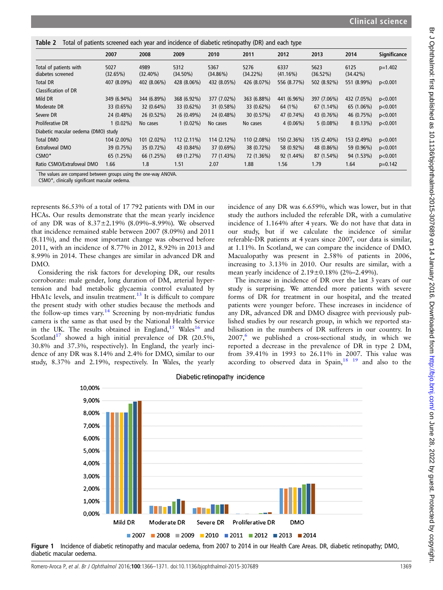<span id="page-3-0"></span>

| Total of patients screened each year and incidence of diabetic retinopathy (DR) and each type<br>Table 2 |                  |                     |                     |                  |                     |                  |                  |                  |                     |  |
|----------------------------------------------------------------------------------------------------------|------------------|---------------------|---------------------|------------------|---------------------|------------------|------------------|------------------|---------------------|--|
|                                                                                                          | 2007             | 2008                | 2009                | 2010             | 2011                | 2012             | 2013             | 2014             | <b>Significance</b> |  |
| Total of patients with<br>diabetes screened                                                              | 5027<br>(32.65%) | 4989<br>$(32.40\%)$ | 5312<br>$(34.50\%)$ | 5367<br>(34.86%) | 5276<br>$(34.22\%)$ | 6337<br>(41.16%) | 5623<br>(36.52%) | 6125<br>(34.42%) | $p=1.402$           |  |
| <b>Total DR</b>                                                                                          | 407 (8.09%)      | 402 (8.06%)         | 428 (8.06%)         | 432 (8.05%)      | 426 (8.07%)         | 556 (8.77%)      | 502 (8.92%)      | 551 (8.99%)      | p<0.001             |  |
| Classification of DR                                                                                     |                  |                     |                     |                  |                     |                  |                  |                  |                     |  |
| Mild DR                                                                                                  | 349 (6.94%)      | 344 (6.89%)         | 368 (6.92%)         | 377 (7.02%)      | 363 (6.88%)         | 441 (6.96%)      | 397 (7.06%)      | 432 (7.05%)      | p<0.001             |  |
| Moderate DR                                                                                              | 33 (0.65%)       | 32 (0.64%)          | 33 (0.62%)          | 31 (0.58%)       | 33 (0.62%)          | 64 (1%)          | 67 (1.14%)       | 65 (1.06%)       | p<0.001             |  |
| Severe DR                                                                                                | 24 (0.48%)       | 26 (0.52%)          | 26 (0.49%)          | 24 (0.48%)       | 30 (0.57%)          | 47 (0.74%)       | 43 (0.76%)       | 46 (0.75%)       | p<0.001             |  |
| <b>Proliferative DR</b>                                                                                  | $1(0.02\%)$      | No cases            | $1(0.02\%)$         | No cases         | No cases            | $4(0.06\%)$      | $5(0.08\%)$      | $8(0.13\%)$      | p<0.001             |  |
| Diabetic macular oedema (DMO) study                                                                      |                  |                     |                     |                  |                     |                  |                  |                  |                     |  |
| <b>Total DMO</b>                                                                                         | 104 (2.00%)      | 101 (2.02%)         | 112 (2.11%)         | $114(2.12\%)$    | 110 (2.08%)         | 150 (2.36%)      | 135 (2.40%)      | 153 (2.49%)      | p<0.001             |  |
| Extrafoveal DMO                                                                                          | 39 (0.75%)       | 35 (0.72%)          | 43 (0.84%)          | 37 (0.69%)       | 38 (0.72%)          | 58 (0.92%)       | 48 (0.86%)       | 59 (0.96%)       | p<0.001             |  |
| CSMO*                                                                                                    | 65 (1.25%)       | 66 (1.25%)          | 69 (1.27%)          | 77 (1.43%)       | 72 (1.36%)          | 92 (1.44%)       | 87 (1.54%)       | 94 (1.53%)       | p<0.001             |  |
| Ratio CSMO/Extrafoveal DMO                                                                               | 1.66             | 1.8                 | 1.51                | 2.07             | 1.88                | 1.56             | 1.79             | 1.64             | $p=0.142$           |  |

The values are compared between groups using the one-way ANOVA.

CSMO\*, clinically significant macular oedema.

represents 86.53% of a total of 17 792 patients with DM in our HCAs. Our results demonstrate that the mean yearly incidence of any DR was of 8.37±2.19% (8.09%–8.99%). We observed that incidence remained stable between 2007 (8.09%) and 2011 (8.11%), and the most important change was observed before 2011, with an incidence of 8.77% in 2012, 8.92% in 2013 and 8.99% in 2014. These changes are similar in advanced DR and DMO.

Considering the risk factors for developing DR, our results corroborate: male gender, long duration of DM, arterial hypertension and bad metabolic glycaemia control evaluated by HbA1c levels, and insulin treatment.<sup>[13](#page-5-0)</sup> It is difficult to compare the present study with other studies because the methods and the follow-up times vary.<sup>[14](#page-5-0)</sup> Screening by non-mydriatic fundus camera is the same as that used by the National Health Service in the UK. The results obtained in England, $15$  Wales<sup>[16](#page-5-0)</sup> and Scotland<sup>[17](#page-5-0)</sup> showed a high initial prevalence of DR (20.5%, 30.8% and 37.3%, respectively). In England, the yearly incidence of any DR was 8.14% and 2.4% for DMO, similar to our study, 8.37% and 2.19%, respectively. In Wales, the yearly

incidence of any DR was 6.659%, which was lower, but in that study the authors included the referable DR, with a cumulative incidence of 1.164% after 4 years. We do not have that data in our study, but if we calculate the incidence of similar referable-DR patients at 4 years since 2007, our data is similar, at 1.11%. In Scotland, we can compare the incidence of DMO. Macualopathy was present in 2.58% of patients in 2006, increasing to 3.13% in 2010. Our results are similar, with a mean yearly incidence of 2.19±0.18% (2%–2.49%).

The increase in incidence of DR over the last 3 years of our study is surprising. We attended more patients with severe forms of DR for treatment in our hospital, and the treated patients were younger before. These increases in incidence of any DR, advanced DR and DMO disagree with previously published studies by our research group, in which we reported stabilisation in the numbers of DR sufferers in our country. In  $2007<sup>6</sup>$  $2007<sup>6</sup>$  $2007<sup>6</sup>$  we published a cross-sectional study, in which we reported a decrease in the prevalence of DR in type 2 DM, from 39.41% in 1993 to 26.11% in 2007. This value was according to observed data in Spain, $18 \tcdot 19$  and also to the



#### Figure 1 Incidence of diabetic retinopathy and macular oedema, from 2007 to 2014 in our Health Care Areas. DR, diabetic retinopathy; DMO, diabetic macular oedema.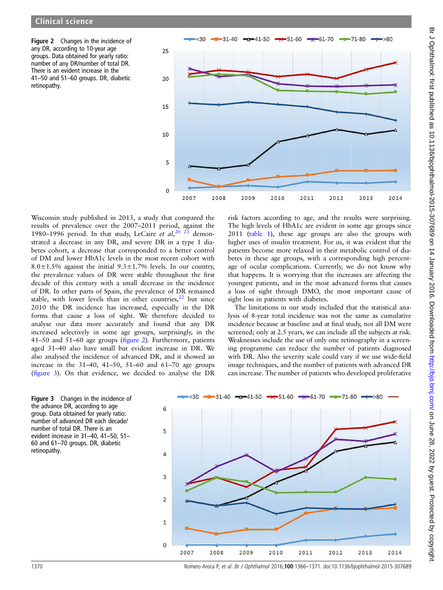<span id="page-4-0"></span>Figure 2 Changes in the incidence of any DR, according to 10-year age groups. Data obtained for yearly ratio: number of any DR/number of total DR. There is an evident increase in the 41–50 and 51–60 groups. DR, diabetic retinopathy.



Wisconsin study published in 2013, a study that compared the results of prevalence over the 2007–2011 period, against the 1980–1996 period. In that study, LeCaire et  $al$ ,  $20\frac{2}{1}$  demonstrated a decrease in any DR, and severe DR in a type 1 diabetes cohort, a decrease that corresponded to a better control of DM and lower HbA1c levels in the most recent cohort with 8.0 $\pm$ 1.5% against the initial 9.3 $\pm$ 1.7% levels. In our country, the prevalence values of DR were stable throughout the first decade of this century with a small decrease in the incidence of DR. In other parts of Spain, the prevalence of DR remained stable, with lower levels than in other countries,<sup>22</sup> but since 2010 the DR incidence has increased, especially in the DR forms that cause a loss of sight. We therefore decided to analyse our data more accurately and found that any DR increased selectively in some age groups, surprisingly, in the 41–50 and 51–60 age groups (figure 2). Furthermore, patients aged 31–40 also have small but evident increase in DR. We also analysed the incidence of advanced DR, and it showed an increase in the  $31-40$ ,  $41-50$ ,  $51-60$  and  $61-70$  age groups (figure 3). On that evidence, we decided to analyse the DR



risk factors according to age, and the results were surprising.

lysis of 8-year total incidence was not the same as cumulative incidence because at baseline and at final study, not all DM were screened; only at 2.5 years, we can include all the subjects at risk. Weaknesses include the use of only one retinography in a screening programme can reduce the number of patients diagnosed with DR. Also the severity scale could vary if we use wide-field image techniques, and the number of patients with advanced DR can increase. The number of patients who developed proliferative



![](_page_4_Figure_7.jpeg)